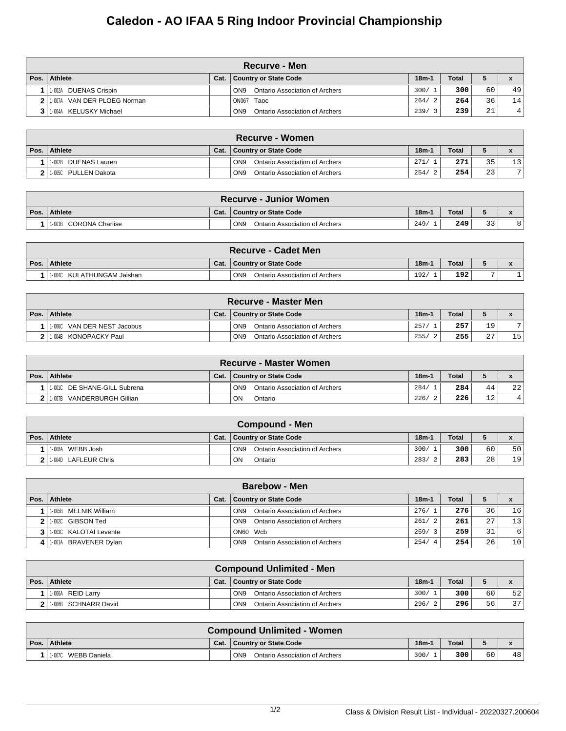## **Caledon - AO IFAA 5 Ring Indoor Provincial Championship**

|      | Recurve - Men               |      |                                                   |         |              |                 |    |  |  |  |  |
|------|-----------------------------|------|---------------------------------------------------|---------|--------------|-----------------|----|--|--|--|--|
| Pos. | Athlete                     | Cat. | Country or State Code                             | $18m-1$ | <b>Total</b> |                 |    |  |  |  |  |
|      | 1-002A DUENAS Crispin       |      | Ontario Association of Archers<br>ON <sub>9</sub> | 300/    | 300          | 60              | 49 |  |  |  |  |
|      | 1-007A VAN DER PLOEG Norman |      | ON067 Taoc                                        | 264/2   | 264          | 36              | 14 |  |  |  |  |
|      | 1-004A KELUSKY Michael      |      | Ontario Association of Archers<br>ON <sub>9</sub> | 239/    | 239          | $\bigcap$<br>41 | 4  |  |  |  |  |

| <b>Recurve - Women</b> |      |                                                   |         |              |    |    |  |  |  |  |
|------------------------|------|---------------------------------------------------|---------|--------------|----|----|--|--|--|--|
| Pos.   Athlete         | Cat. | Country or State Code                             | $18m-1$ | <b>Total</b> |    |    |  |  |  |  |
| 1-002B DUENAS Lauren   |      | Ontario Association of Archers<br>ON <sub>9</sub> | 271/    | 271          | 35 | 13 |  |  |  |  |
| 2 1.005C PULLEN Dakota |      | Ontario Association of Archers<br>ON <sub>9</sub> | 254/    | 254          | 23 | 71 |  |  |  |  |

|      | <b>Recurve - Junior Women</b>       |      |                                                   |         |              |    |  |  |  |  |  |
|------|-------------------------------------|------|---------------------------------------------------|---------|--------------|----|--|--|--|--|--|
| Pos. | Athlete                             | Cat. | Country or State Code                             | $18m-1$ | <b>Total</b> |    |  |  |  |  |  |
|      | <sup>1</sup> 1-001B CORONA Charlise |      | ON <sub>9</sub><br>Ontario Association of Archers | 249/    | 249          | ົາ |  |  |  |  |  |

|      | <b>Recurve - Cadet Men</b> |      |                                                   |         |              |  |  |  |  |  |
|------|----------------------------|------|---------------------------------------------------|---------|--------------|--|--|--|--|--|
| Pos. | Athlete                    | Cat. | Country or State Code                             | $18m-1$ | <b>Total</b> |  |  |  |  |  |
|      | 1-004C KULATHUNGAM Jaishan |      | ON <sub>9</sub><br>Ontario Association of Archers | 192/    | 192          |  |  |  |  |  |

| <b>Recurve - Master Men</b> |      |                                                   |         |              |                 |                |  |  |  |  |
|-----------------------------|------|---------------------------------------------------|---------|--------------|-----------------|----------------|--|--|--|--|
| Pos. Athlete                | Cat. | <b>Country or State Code</b>                      | $18m-1$ | <b>Total</b> |                 |                |  |  |  |  |
| 1-006C VAN DER NEST Jacobus |      | ON <sub>9</sub><br>Ontario Association of Archers | 257/    | 257          | 19 <sub>1</sub> | $\overline{ }$ |  |  |  |  |
| 11-004B KONOPACKY Paul      |      | Ontario Association of Archers<br>ON <sub>9</sub> | 255/    | 255          | $\cap$<br>▵     | 15             |  |  |  |  |

|      | <b>Recurve - Master Women</b> |      |                                                   |         |              |                 |                 |  |  |  |  |
|------|-------------------------------|------|---------------------------------------------------|---------|--------------|-----------------|-----------------|--|--|--|--|
| Pos. | Athlete                       | Cat. | <b>Country or State Code</b>                      | $18m-1$ | <b>Total</b> |                 |                 |  |  |  |  |
|      | 11-001C DE SHANE-GILL Subrena |      | ON <sub>9</sub><br>Ontario Association of Archers | 284/    | 284          | 44              | 22 <sub>1</sub> |  |  |  |  |
|      | VANDERBURGH Gillian<br>1-007B |      | ON<br>Ontario                                     | 226/    | 226          | 12 <sup>°</sup> |                 |  |  |  |  |

|      | <b>Compound - Men</b>  |      |                                                   |                       |              |    |    |  |  |  |  |
|------|------------------------|------|---------------------------------------------------|-----------------------|--------------|----|----|--|--|--|--|
| Pos. | Athlete                | Cat. | Country or State Code                             | $18m-1$               | <b>Total</b> |    |    |  |  |  |  |
|      | WEBB Josh<br>1-008A    |      | ON <sub>9</sub><br>Ontario Association of Archers | 300/                  | 300          | 60 | 50 |  |  |  |  |
|      | 2 1.004D LAFLEUR Chris |      | ON<br>Ontario                                     | 283/<br>$\mathcal{L}$ | 283          | 28 | 19 |  |  |  |  |

| <b>Barebow - Men</b>       |      |                                                   |                        |              |    |                 |  |  |  |  |
|----------------------------|------|---------------------------------------------------|------------------------|--------------|----|-----------------|--|--|--|--|
| Pos.   Athlete             | Cat. | Country or State Code                             | $18m-1$                | <b>Total</b> |    |                 |  |  |  |  |
| 11-005B MELNIK William     |      | Ontario Association of Archers<br>ON <sub>9</sub> | 276/1                  | 276          | 36 | 16              |  |  |  |  |
| 2   1-002C GIBSON Ted      |      | Ontario Association of Archers<br>ON <sub>9</sub> | 261/<br>$\overline{2}$ | 261          | 27 | 13              |  |  |  |  |
| 3 1 1 003C KALOTAI Levente |      | ON60 Wcb                                          | 259/                   | 259          | 31 | 6               |  |  |  |  |
| 4 1.001A BRAVENER Dylan    |      | Ontario Association of Archers<br>ON <sub>9</sub> | 254/<br>4.             | 254          | 26 | 10 <sub>1</sub> |  |  |  |  |

| <b>Compound Unlimited - Men</b> |      |                                                   |         |       |    |                 |  |  |  |  |
|---------------------------------|------|---------------------------------------------------|---------|-------|----|-----------------|--|--|--|--|
| Pos. Athlete                    | Cat. | <b>Country or State Code</b>                      | $18m-1$ | Total |    |                 |  |  |  |  |
| 1-006A<br>REID Larrv            |      | Ontario Association of Archers<br>ON <sub>9</sub> | 300/    | 300   | 60 | 52              |  |  |  |  |
| 1-006B SCHNARR David            |      | Ontario Association of Archers<br>ON <sub>9</sub> | 296/    | 296   | 56 | 37 <sup>1</sup> |  |  |  |  |

| <b>Compound Unlimited - Women</b> |      |                                                   |         |              |    |    |  |  |  |  |
|-----------------------------------|------|---------------------------------------------------|---------|--------------|----|----|--|--|--|--|
| Pos. Athlete                      | Cat. | Country or State Code                             | $18m-1$ | <b>Total</b> |    |    |  |  |  |  |
| WEBB Daniela<br>1-007C            |      | ON <sub>9</sub><br>Ontario Association of Archers | 300/    | 300          | 60 | 48 |  |  |  |  |